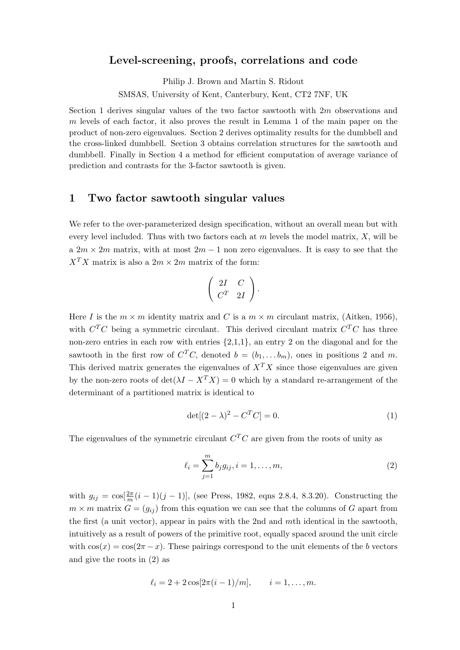## Level-screening, proofs, correlations and code

Philip J. Brown and Martin S. Ridout

SMSAS, University of Kent, Canterbury, Kent, CT2 7NF, UK

Section 1 derives singular values of the two factor sawtooth with  $2m$  observations and m levels of each factor, it also proves the result in Lemma 1 of the main paper on the product of non-zero eigenvalues. Section 2 derives optimality results for the dumbbell and the cross-linked dumbbell. Section 3 obtains correlation structures for the sawtooth and dumbbell. Finally in Section 4 a method for efficient computation of average variance of prediction and contrasts for the 3-factor sawtooth is given.

## 1 Two factor sawtooth singular values

We refer to the over-parameterized design specification, without an overall mean but with every level included. Thus with two factors each at  $m$  levels the model matrix,  $X$ , will be a  $2m \times 2m$  matrix, with at most  $2m - 1$  non zero eigenvalues. It is easy to see that the  $X^T X$  matrix is also a  $2m \times 2m$  matrix of the form:

$$
\left(\begin{array}{cc}2I&C\\C^T&2I\end{array}\right).
$$

Here I is the  $m \times m$  identity matrix and C is a  $m \times m$  circulant matrix, (Aitken, 1956), with  $C^{T}C$  being a symmetric circulant. This derived circulant matrix  $C^{T}C$  has three non-zero entries in each row with entries  $\{2,1,1\}$ , an entry 2 on the diagonal and for the sawtooth in the first row of  $C^T C$ , denoted  $b = (b_1, \ldots, b_m)$ , ones in positions 2 and m. This derived matrix generates the eigenvalues of  $X<sup>T</sup>X$  since those eigenvalues are given by the non-zero roots of  $\det(\lambda I - X^T X) = 0$  which by a standard re-arrangement of the determinant of a partitioned matrix is identical to

$$
\det[(2-\lambda)^2 - C^T C] = 0. \tag{1}
$$

The eigenvalues of the symmetric circulant  $C^{T}C$  are given from the roots of unity as

$$
\ell_i = \sum_{j=1}^m b_j g_{ij}, i = 1, \dots, m,
$$
\n(2)

with  $g_{ij} = \cos[\frac{2\pi}{m}(i-1)(j-1)]$ , (see Press, 1982, eqns 2.8.4, 8.3.20). Constructing the  $m \times m$  matrix  $G = (g_{ij})$  from this equation we can see that the columns of G apart from the first (a unit vector), appear in pairs with the 2nd and mth identical in the sawtooth, intuitively as a result of powers of the primitive root, equally spaced around the unit circle with  $\cos(x) = \cos(2\pi - x)$ . These pairings correspond to the unit elements of the b vectors and give the roots in (2) as

$$
\ell_i = 2 + 2\cos[2\pi(i-1)/m], \qquad i = 1, \ldots, m.
$$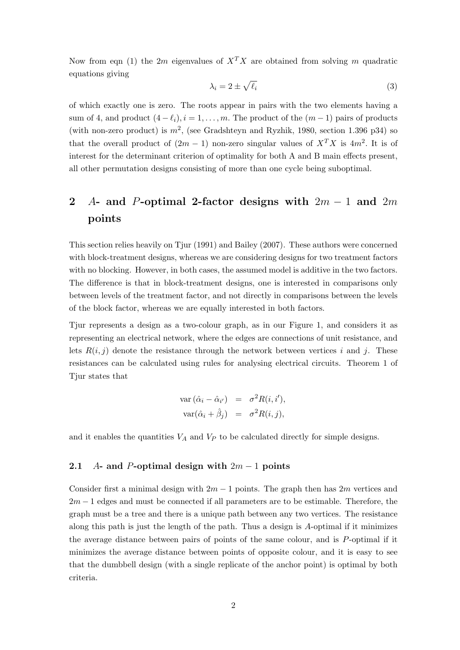Now from eqn (1) the 2m eigenvalues of  $X^T X$  are obtained from solving m quadratic equations giving

$$
\lambda_i = 2 \pm \sqrt{\ell_i} \tag{3}
$$

of which exactly one is zero. The roots appear in pairs with the two elements having a sum of 4, and product  $(4 - \ell_i), i = 1, \ldots, m$ . The product of the  $(m - 1)$  pairs of products (with non-zero product) is  $m^2$ , (see Gradshteyn and Ryzhik, 1980, section 1.396 p34) so that the overall product of  $(2m-1)$  non-zero singular values of  $X^T X$  is  $4m^2$ . It is of interest for the determinant criterion of optimality for both A and B main effects present, all other permutation designs consisting of more than one cycle being suboptimal.

# 2 A- and P-optimal 2-factor designs with  $2m - 1$  and  $2m$ points

This section relies heavily on Tjur (1991) and Bailey (2007). These authors were concerned with block-treatment designs, whereas we are considering designs for two treatment factors with no blocking. However, in both cases, the assumed model is additive in the two factors. The difference is that in block-treatment designs, one is interested in comparisons only between levels of the treatment factor, and not directly in comparisons between the levels of the block factor, whereas we are equally interested in both factors.

Tjur represents a design as a two-colour graph, as in our Figure 1, and considers it as representing an electrical network, where the edges are connections of unit resistance, and lets  $R(i, j)$  denote the resistance through the network between vertices i and j. These resistances can be calculated using rules for analysing electrical circuits. Theorem 1 of Tjur states that

$$
\begin{aligned}\n\text{var}\left(\hat{\alpha}_i - \hat{\alpha}_{i'}\right) &= \sigma^2 R(i, i'), \\
\text{var}(\hat{\alpha}_i + \hat{\beta}_j) &= \sigma^2 R(i, j),\n\end{aligned}
$$

and it enables the quantities  $V_A$  and  $V_P$  to be calculated directly for simple designs.

#### 2.1 A- and P-optimal design with  $2m - 1$  points

Consider first a minimal design with  $2m - 1$  points. The graph then has  $2m$  vertices and  $2m - 1$  edges and must be connected if all parameters are to be estimable. Therefore, the graph must be a tree and there is a unique path between any two vertices. The resistance along this path is just the length of the path. Thus a design is A-optimal if it minimizes the average distance between pairs of points of the same colour, and is P-optimal if it minimizes the average distance between points of opposite colour, and it is easy to see that the dumbbell design (with a single replicate of the anchor point) is optimal by both criteria.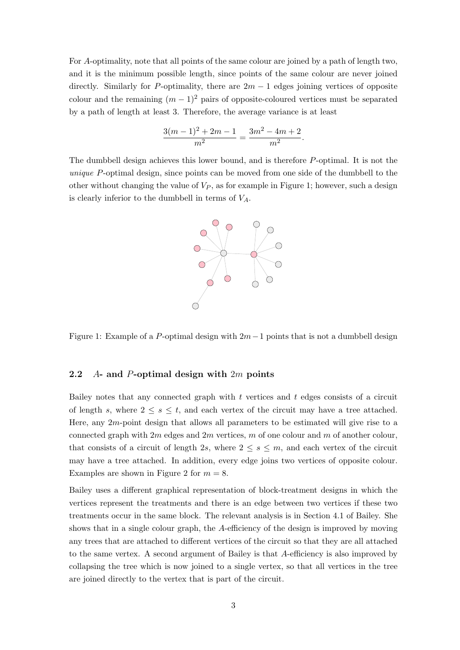For A-optimality, note that all points of the same colour are joined by a path of length two, and it is the minimum possible length, since points of the same colour are never joined directly. Similarly for P-optimality, there are  $2m - 1$  edges joining vertices of opposite colour and the remaining  $(m-1)^2$  pairs of opposite-coloured vertices must be separated by a path of length at least 3. Therefore, the average variance is at least

$$
\frac{3(m-1)^2 + 2m - 1}{m^2} = \frac{3m^2 - 4m + 2}{m^2}.
$$

The dumbbell design achieves this lower bound, and is therefore P-optimal. It is not the unique P-optimal design, since points can be moved from one side of the dumbbell to the other without changing the value of  $V_P$ , as for example in Figure 1; however, such a design is clearly inferior to the dumbbell in terms of  $V_A$ .



Figure 1: Example of a P-optimal design with  $2m-1$  points that is not a dumbbell design

#### 2.2  $A$ - and P-optimal design with  $2m$  points

Bailey notes that any connected graph with  $t$  vertices and  $t$  edges consists of a circuit of length s, where  $2 \leq s \leq t$ , and each vertex of the circuit may have a tree attached. Here, any  $2m$ -point design that allows all parameters to be estimated will give rise to a connected graph with  $2m$  edges and  $2m$  vertices,  $m$  of one colour and  $m$  of another colour, that consists of a circuit of length 2s, where  $2 \leq s \leq m$ , and each vertex of the circuit may have a tree attached. In addition, every edge joins two vertices of opposite colour. Examples are shown in Figure 2 for  $m = 8$ .

Bailey uses a different graphical representation of block-treatment designs in which the vertices represent the treatments and there is an edge between two vertices if these two treatments occur in the same block. The relevant analysis is in Section 4.1 of Bailey. She shows that in a single colour graph, the A-efficiency of the design is improved by moving any trees that are attached to different vertices of the circuit so that they are all attached to the same vertex. A second argument of Bailey is that A-efficiency is also improved by collapsing the tree which is now joined to a single vertex, so that all vertices in the tree are joined directly to the vertex that is part of the circuit.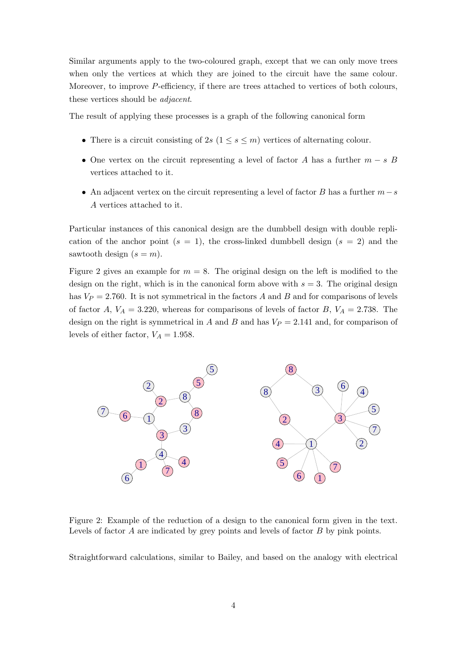Similar arguments apply to the two-coloured graph, except that we can only move trees when only the vertices at which they are joined to the circuit have the same colour. Moreover, to improve P-efficiency, if there are trees attached to vertices of both colours, these vertices should be adjacent.

The result of applying these processes is a graph of the following canonical form

- There is a circuit consisting of  $2s$   $(1 \leq s \leq m)$  vertices of alternating colour.
- One vertex on the circuit representing a level of factor A has a further  $m s$  B vertices attached to it.
- An adjacent vertex on the circuit representing a level of factor B has a further  $m-s$ A vertices attached to it.

Particular instances of this canonical design are the dumbbell design with double replication of the anchor point  $(s = 1)$ , the cross-linked dumbbell design  $(s = 2)$  and the sawtooth design  $(s = m)$ .

Figure 2 gives an example for  $m = 8$ . The original design on the left is modified to the design on the right, which is in the canonical form above with  $s = 3$ . The original design has  $V_P = 2.760$ . It is not symmetrical in the factors A and B and for comparisons of levels of factor A,  $V_A = 3.220$ , whereas for comparisons of levels of factor B,  $V_A = 2.738$ . The design on the right is symmetrical in A and B and has  $V_P = 2.141$  and, for comparison of levels of either factor,  $V_A = 1.958$ .



Figure 2: Example of the reduction of a design to the canonical form given in the text. Levels of factor A are indicated by grey points and levels of factor B by pink points.

Straightforward calculations, similar to Bailey, and based on the analogy with electrical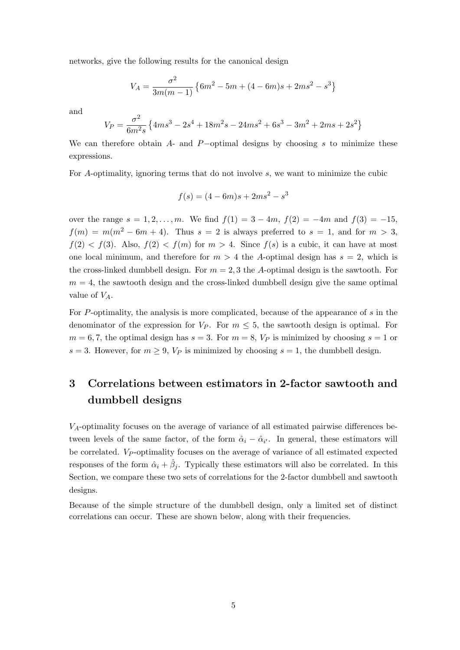networks, give the following results for the canonical design

$$
V_A = \frac{\sigma^2}{3m(m-1)} \left\{ 6m^2 - 5m + (4 - 6m)s + 2ms^2 - s^3 \right\}
$$

and

$$
V_P = \frac{\sigma^2}{6m^2 s} \left\{ 4ms^3 - 2s^4 + 18m^2 s - 24ms^2 + 6s^3 - 3m^2 + 2ms + 2s^2 \right\}
$$

We can therefore obtain A- and P-optimal designs by choosing s to minimize these expressions.

For A-optimality, ignoring terms that do not involve s, we want to minimize the cubic

$$
f(s) = (4 - 6m)s + 2ms^2 - s^3
$$

over the range  $s = 1, 2, ..., m$ . We find  $f(1) = 3 - 4m$ ,  $f(2) = -4m$  and  $f(3) = -15$ ,  $f(m) = m(m^2 - 6m + 4)$ . Thus  $s = 2$  is always preferred to  $s = 1$ , and for  $m > 3$ ,  $f(2) < f(3)$ . Also,  $f(2) < f(m)$  for  $m > 4$ . Since  $f(s)$  is a cubic, it can have at most one local minimum, and therefore for  $m > 4$  the A-optimal design has  $s = 2$ , which is the cross-linked dumbbell design. For  $m = 2, 3$  the A-optimal design is the sawtooth. For  $m = 4$ , the sawtooth design and the cross-linked dumbbell design give the same optimal value of  $V_A$ .

For P-optimality, the analysis is more complicated, because of the appearance of s in the denominator of the expression for  $V_P$ . For  $m \leq 5$ , the sawtooth design is optimal. For  $m = 6, 7$ , the optimal design has  $s = 3$ . For  $m = 8$ ,  $V_P$  is minimized by choosing  $s = 1$  or  $s = 3$ . However, for  $m \geq 9$ ,  $V_P$  is minimized by choosing  $s = 1$ , the dumbbell design.

## 3 Correlations between estimators in 2-factor sawtooth and dumbbell designs

 $V_A$ -optimality focuses on the average of variance of all estimated pairwise differences between levels of the same factor, of the form  $\hat{\alpha}_i - \hat{\alpha}_{i'}$ . In general, these estimators will be correlated.  $V_P$ -optimality focuses on the average of variance of all estimated expected responses of the form  $\hat{\alpha}_i + \hat{\beta}_j$ . Typically these estimators will also be correlated. In this Section, we compare these two sets of correlations for the 2-factor dumbbell and sawtooth designs.

Because of the simple structure of the dumbbell design, only a limited set of distinct correlations can occur. These are shown below, along with their frequencies.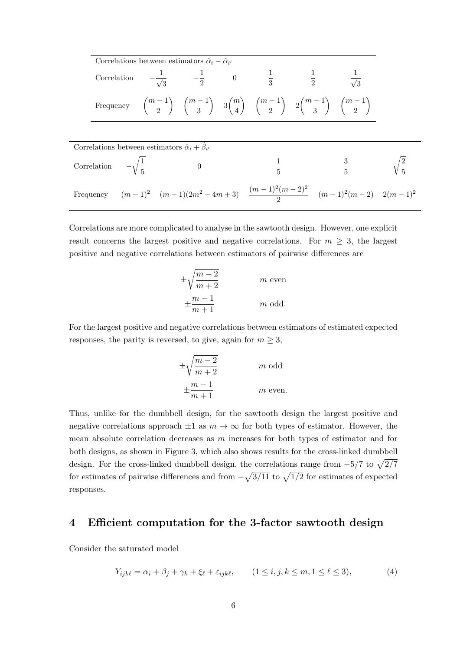|                                                                     | Correlations between estimators $\hat{\alpha}_i - \hat{\alpha}_{i'}$ |  |                |  |  |                                                                                                                 |                                                                                             |  |
|---------------------------------------------------------------------|----------------------------------------------------------------------|--|----------------|--|--|-----------------------------------------------------------------------------------------------------------------|---------------------------------------------------------------------------------------------|--|
|                                                                     |                                                                      |  |                |  |  | Correlation $-\frac{1}{\sqrt{3}}$ $-\frac{1}{2}$ 0 $\frac{1}{3}$ $\frac{1}{2}$ $\frac{1}{\sqrt{3}}$             |                                                                                             |  |
|                                                                     |                                                                      |  |                |  |  | Frequency $\binom{m-1}{2}$ $\binom{m-1}{3}$ $3\binom{m}{4}$ $\binom{m-1}{2}$ $2\binom{m-1}{3}$ $\binom{m-1}{2}$ |                                                                                             |  |
|                                                                     |                                                                      |  |                |  |  |                                                                                                                 |                                                                                             |  |
| Correlations between estimators $\hat{\alpha}_i + \hat{\beta}_{i'}$ |                                                                      |  |                |  |  |                                                                                                                 |                                                                                             |  |
| Correlation $-\sqrt{\frac{1}{5}}$                                   |                                                                      |  | $\overline{0}$ |  |  |                                                                                                                 | $\frac{1}{5}$ $\frac{3}{5}$ $\sqrt{\frac{2}{5}}$                                            |  |
|                                                                     |                                                                      |  |                |  |  |                                                                                                                 | Frequency $(m-1)^2$ $(m-1)(2m^2-4m+3)$ $\frac{(m-1)^2(m-2)^2}{2}$ $(m-1)^2(m-2)$ $2(m-1)^2$ |  |

Correlations are more complicated to analyse in the sawtooth design. However, one explicit result concerns the largest positive and negative correlations. For  $m \geq 3$ , the largest positive and negative correlations between estimators of pairwise differences are

$$
\pm \sqrt{\frac{m-2}{m+2}}
$$
 *m* even  

$$
\pm \frac{m-1}{m+1}
$$
 *m* odd.

For the largest positive and negative correlations between estimators of estimated expected responses, the parity is reversed, to give, again for  $m \geq 3$ ,

$$
\pm \sqrt{\frac{m-2}{m+2}}
$$
 *m* odd  

$$
\pm \frac{m-1}{m+1}
$$
 *m* even.

Thus, unlike for the dumbbell design, for the sawtooth design the largest positive and negative correlations approach  $\pm 1$  as  $m \to \infty$  for both types of estimator. However, the mean absolute correlation decreases as  $m$  increases for both types of estimator and for both designs, as shown in Figure 3, which also shows results for the cross-linked dumbbell design. For the cross-linked dumbbell design, the correlations range from  $-5/7$  to  $\sqrt{2/7}$ for estimates of pairwise differences and from  $-\sqrt{3/11}$  to  $\sqrt{1/2}$  for estimates of expected responses.

## 4 Efficient computation for the 3-factor sawtooth design

Consider the saturated model

$$
Y_{ijk\ell} = \alpha_i + \beta_j + \gamma_k + \xi_\ell + \varepsilon_{ijk\ell}, \qquad (1 \le i, j, k \le m, 1 \le \ell \le 3), \tag{4}
$$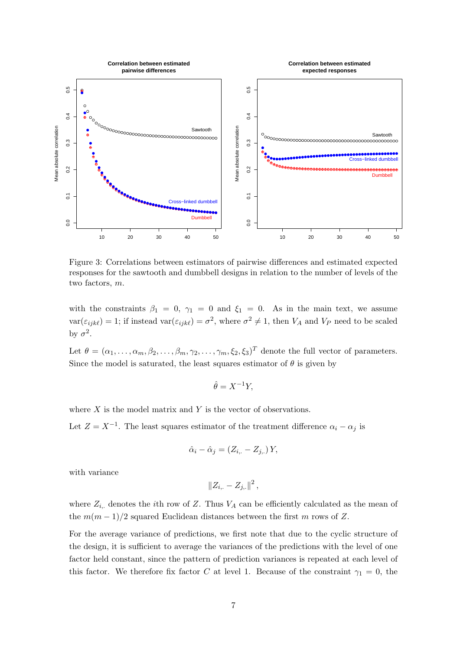

Figure 3: Correlations between estimators of pairwise differences and estimated expected responses for the sawtooth and dumbbell designs in relation to the number of levels of the two factors, m.

with the constraints  $\beta_1 = 0$ ,  $\gamma_1 = 0$  and  $\xi_1 = 0$ . As in the main text, we assume  $var(\varepsilon_{ijk\ell}) = 1$ ; if instead  $var(\varepsilon_{ijk\ell}) = \sigma^2$ , where  $\sigma^2 \neq 1$ , then  $V_A$  and  $V_P$  need to be scaled by  $\sigma^2$ .

Let  $\theta = (\alpha_1, \ldots, \alpha_m, \beta_2, \ldots, \beta_m, \gamma_2, \ldots, \gamma_m, \xi_2, \xi_3)^T$  denote the full vector of parameters. Since the model is saturated, the least squares estimator of  $\theta$  is given by

$$
\hat{\theta} = X^{-1}Y,
$$

where  $X$  is the model matrix and  $Y$  is the vector of observations.

Let  $Z = X^{-1}$ . The least squares estimator of the treatment difference  $\alpha_i - \alpha_j$  is

$$
\hat{\alpha}_i - \hat{\alpha}_j = (Z_{i,.} - Z_{j,.})Y,
$$

with variance

 $||Z_{i,.} - Z_{j,.}||^2$ ,

where  $Z_{i,j}$  denotes the *i*th row of Z. Thus  $V_A$  can be efficiently calculated as the mean of the  $m(m-1)/2$  squared Euclidean distances between the first m rows of Z.

For the average variance of predictions, we first note that due to the cyclic structure of the design, it is sufficient to average the variances of the predictions with the level of one factor held constant, since the pattern of prediction variances is repeated at each level of this factor. We therefore fix factor C at level 1. Because of the constraint  $\gamma_1 = 0$ , the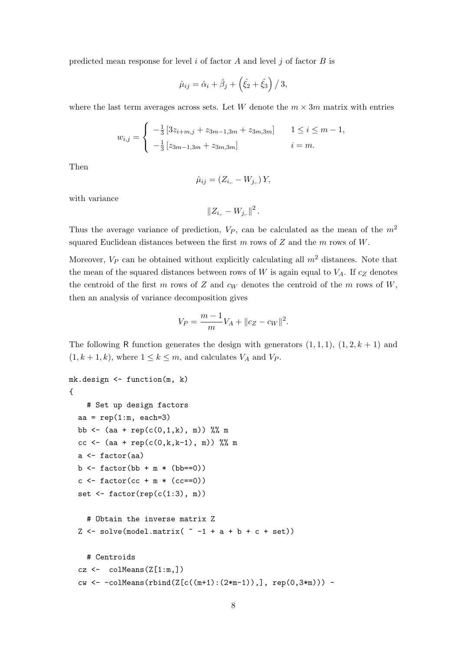predicted mean response for level  $i$  of factor  $A$  and level  $j$  of factor  $B$  is

$$
\hat{\mu}_{ij} = \hat{\alpha}_i + \hat{\beta}_j + \left(\hat{\xi}_2 + \hat{\xi}_3\right)/3,
$$

where the last term averages across sets. Let W denote the  $m \times 3m$  matrix with entries

$$
w_{i,j} = \begin{cases} -\frac{1}{3} \left[ 3z_{i+m,j} + z_{3m-1,3m} + z_{3m,3m} \right] & 1 \le i \le m-1, \\ -\frac{1}{3} \left[ z_{3m-1,3m} + z_{3m,3m} \right] & i = m. \end{cases}
$$

Then

$$
\hat{\mu}_{ij} = (Z_{i,.} - W_{j,.}) Y,
$$

with variance

 $||Z_{i,.} - W_{j,.}||^2$ .

Thus the average variance of prediction,  $V_P$ , can be calculated as the mean of the  $m^2$ squared Euclidean distances between the first  $m$  rows of  $Z$  and the  $m$  rows of  $W$ .

Moreover,  $V_P$  can be obtained without explicitly calculating all  $m<sup>2</sup>$  distances. Note that the mean of the squared distances between rows of  $W$  is again equal to  $V_A$ . If  $c_Z$  denotes the centroid of the first m rows of Z and  $c_W$  denotes the centroid of the m rows of W, then an analysis of variance decomposition gives

$$
V_P = \frac{m-1}{m} V_A + ||c_Z - c_W||^2.
$$

The following R function generates the design with generators  $(1, 1, 1)$ ,  $(1, 2, k + 1)$  and  $(1, k + 1, k)$ , where  $1 \leq k \leq m$ , and calculates  $V_A$  and  $V_P$ .

```
mk.design <- function(m, k)
{
    # Set up design factors
  aa = rep(1:m, each=3)bb \leq (aa + rep(c(0,1,k), m)) %% m
  cc <- (aa + rep(c(0,k,k-1), m)) %% m
  a <- factor(aa)
  b \le - factor(bb + m * (bb == 0))
  c \le - factor(cc + m * (cc == 0))
  set \leq factor(rep(c(1:3), m))
    # Obtain the inverse matrix Z
  Z \leftarrow solve(model.matrix( \sim -1 + a + b + c + set))
    # Centroids
  cz \leftarrow colMeans(Z[1:m,])cw \leftarrow -colMeans(rbind(Z[c((m+1):(2*m-1)),], rep(0,3*m))) -
```